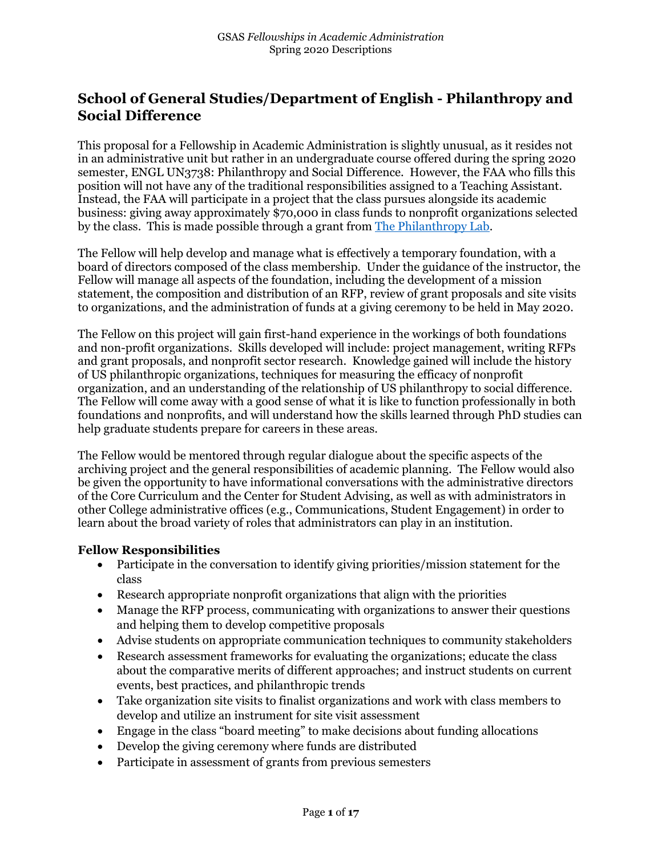# **School of General Studies/Department of English - Philanthropy and Social Difference**

This proposal for a Fellowship in Academic Administration is slightly unusual, as it resides not in an administrative unit but rather in an undergraduate course offered during the spring 2020 semester, ENGL UN3738: Philanthropy and Social Difference. However, the FAA who fills this position will not have any of the traditional responsibilities assigned to a Teaching Assistant. Instead, the FAA will participate in a project that the class pursues alongside its academic business: giving away approximately \$70,000 in class funds to nonprofit organizations selected by the class. This is made possible through a grant from [The Philanthropy Lab.](https://www.thephilanthropylab.org/)

The Fellow will help develop and manage what is effectively a temporary foundation, with a board of directors composed of the class membership. Under the guidance of the instructor, the Fellow will manage all aspects of the foundation, including the development of a mission statement, the composition and distribution of an RFP, review of grant proposals and site visits to organizations, and the administration of funds at a giving ceremony to be held in May 2020.

The Fellow on this project will gain first-hand experience in the workings of both foundations and non-profit organizations. Skills developed will include: project management, writing RFPs and grant proposals, and nonprofit sector research. Knowledge gained will include the history of US philanthropic organizations, techniques for measuring the efficacy of nonprofit organization, and an understanding of the relationship of US philanthropy to social difference. The Fellow will come away with a good sense of what it is like to function professionally in both foundations and nonprofits, and will understand how the skills learned through PhD studies can help graduate students prepare for careers in these areas.

The Fellow would be mentored through regular dialogue about the specific aspects of the archiving project and the general responsibilities of academic planning. The Fellow would also be given the opportunity to have informational conversations with the administrative directors of the Core Curriculum and the Center for Student Advising, as well as with administrators in other College administrative offices (e.g., Communications, Student Engagement) in order to learn about the broad variety of roles that administrators can play in an institution.

## **Fellow Responsibilities**

- Participate in the conversation to identify giving priorities/mission statement for the class
- Research appropriate nonprofit organizations that align with the priorities
- Manage the RFP process, communicating with organizations to answer their questions and helping them to develop competitive proposals
- Advise students on appropriate communication techniques to community stakeholders
- Research assessment frameworks for evaluating the organizations; educate the class about the comparative merits of different approaches; and instruct students on current events, best practices, and philanthropic trends
- Take organization site visits to finalist organizations and work with class members to develop and utilize an instrument for site visit assessment
- Engage in the class "board meeting" to make decisions about funding allocations
- Develop the giving ceremony where funds are distributed
- Participate in assessment of grants from previous semesters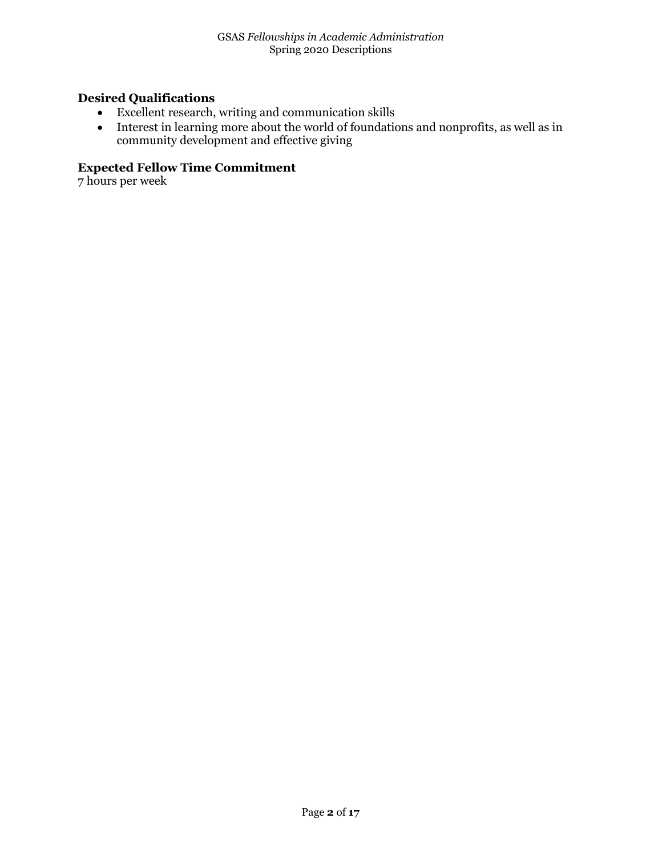# **Desired Qualifications**

- Excellent research, writing and communication skills
- Interest in learning more about the world of foundations and nonprofits, as well as in community development and effective giving

# **Expected Fellow Time Commitment**

7 hours per week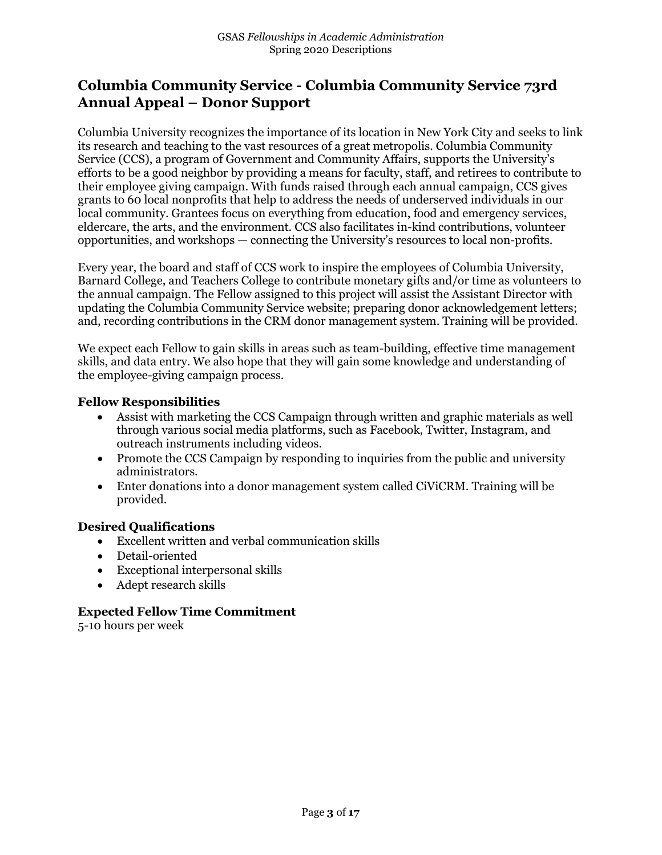# **Columbia Community Service - Columbia Community Service 73rd Annual Appeal – Donor Support**

Columbia University recognizes the importance of its location in New York City and seeks to link its research and teaching to the vast resources of a great metropolis. Columbia Community Service (CCS), a program of Government and Community Affairs, supports the University's efforts to be a good neighbor by providing a means for faculty, staff, and retirees to contribute to their employee giving campaign. With funds raised through each annual campaign, CCS gives grants to 60 local nonprofits that help to address the needs of underserved individuals in our local community. Grantees focus on everything from education, food and emergency services, eldercare, the arts, and the environment. CCS also facilitates in-kind contributions, volunteer opportunities, and workshops — connecting the University's resources to local non-profits.

Every year, the board and staff of CCS work to inspire the employees of Columbia University, Barnard College, and Teachers College to contribute monetary gifts and/or time as volunteers to the annual campaign. The Fellow assigned to this project will assist the Assistant Director with updating the Columbia Community Service website; preparing donor acknowledgement letters; and, recording contributions in the CRM donor management system. Training will be provided.

We expect each Fellow to gain skills in areas such as team-building, effective time management skills, and data entry. We also hope that they will gain some knowledge and understanding of the employee-giving campaign process.

#### **Fellow Responsibilities**

- Assist with marketing the CCS Campaign through written and graphic materials as well through various social media platforms, such as Facebook, Twitter, Instagram, and outreach instruments including videos.
- Promote the CCS Campaign by responding to inquiries from the public and university administrators.
- Enter donations into a donor management system called CiViCRM. Training will be provided.

## **Desired Qualifications**

- Excellent written and verbal communication skills
- Detail-oriented
- Exceptional interpersonal skills
- Adept research skills

## **Expected Fellow Time Commitment**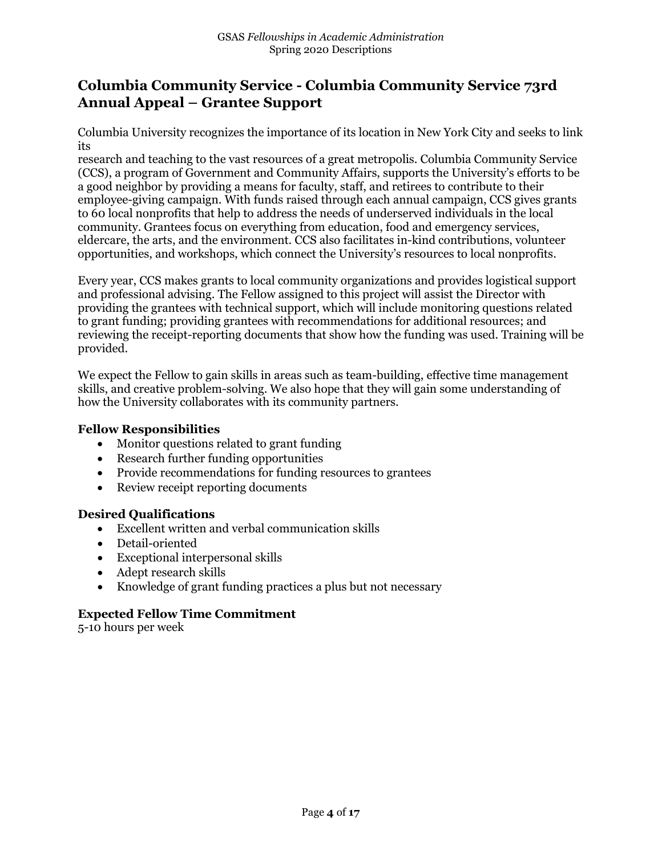# **Columbia Community Service - Columbia Community Service 73rd Annual Appeal – Grantee Support**

Columbia University recognizes the importance of its location in New York City and seeks to link its

research and teaching to the vast resources of a great metropolis. Columbia Community Service (CCS), a program of Government and Community Affairs, supports the University's efforts to be a good neighbor by providing a means for faculty, staff, and retirees to contribute to their employee-giving campaign. With funds raised through each annual campaign, CCS gives grants to 60 local nonprofits that help to address the needs of underserved individuals in the local community. Grantees focus on everything from education, food and emergency services, eldercare, the arts, and the environment. CCS also facilitates in-kind contributions, volunteer opportunities, and workshops, which connect the University's resources to local nonprofits.

Every year, CCS makes grants to local community organizations and provides logistical support and professional advising. The Fellow assigned to this project will assist the Director with providing the grantees with technical support, which will include monitoring questions related to grant funding; providing grantees with recommendations for additional resources; and reviewing the receipt-reporting documents that show how the funding was used. Training will be provided.

We expect the Fellow to gain skills in areas such as team-building, effective time management skills, and creative problem-solving. We also hope that they will gain some understanding of how the University collaborates with its community partners.

## **Fellow Responsibilities**

- Monitor questions related to grant funding
- Research further funding opportunities
- Provide recommendations for funding resources to grantees
- Review receipt reporting documents

## **Desired Qualifications**

- Excellent written and verbal communication skills
- Detail-oriented
- Exceptional interpersonal skills
- Adept research skills
- Knowledge of grant funding practices a plus but not necessary

## **Expected Fellow Time Commitment**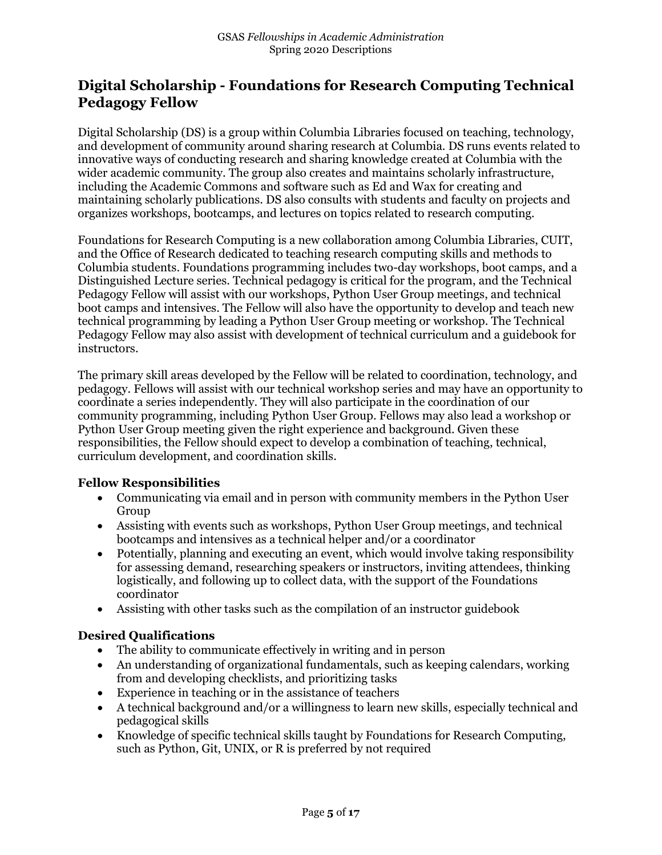# **Digital Scholarship - Foundations for Research Computing Technical Pedagogy Fellow**

Digital Scholarship (DS) is a group within Columbia Libraries focused on teaching, technology, and development of community around sharing research at Columbia. DS runs events related to innovative ways of conducting research and sharing knowledge created at Columbia with the wider academic community. The group also creates and maintains scholarly infrastructure, including the Academic Commons and software such as Ed and Wax for creating and maintaining scholarly publications. DS also consults with students and faculty on projects and organizes workshops, bootcamps, and lectures on topics related to research computing.

Foundations for Research Computing is a new collaboration among Columbia Libraries, CUIT, and the Office of Research dedicated to teaching research computing skills and methods to Columbia students. Foundations programming includes two-day workshops, boot camps, and a Distinguished Lecture series. Technical pedagogy is critical for the program, and the Technical Pedagogy Fellow will assist with our workshops, Python User Group meetings, and technical boot camps and intensives. The Fellow will also have the opportunity to develop and teach new technical programming by leading a Python User Group meeting or workshop. The Technical Pedagogy Fellow may also assist with development of technical curriculum and a guidebook for instructors.

The primary skill areas developed by the Fellow will be related to coordination, technology, and pedagogy. Fellows will assist with our technical workshop series and may have an opportunity to coordinate a series independently. They will also participate in the coordination of our community programming, including Python User Group. Fellows may also lead a workshop or Python User Group meeting given the right experience and background. Given these responsibilities, the Fellow should expect to develop a combination of teaching, technical, curriculum development, and coordination skills.

## **Fellow Responsibilities**

- Communicating via email and in person with community members in the Python User Group
- Assisting with events such as workshops, Python User Group meetings, and technical bootcamps and intensives as a technical helper and/or a coordinator
- Potentially, planning and executing an event, which would involve taking responsibility for assessing demand, researching speakers or instructors, inviting attendees, thinking logistically, and following up to collect data, with the support of the Foundations coordinator
- Assisting with other tasks such as the compilation of an instructor guidebook

# **Desired Qualifications**

- The ability to communicate effectively in writing and in person
- An understanding of organizational fundamentals, such as keeping calendars, working from and developing checklists, and prioritizing tasks
- Experience in teaching or in the assistance of teachers
- A technical background and/or a willingness to learn new skills, especially technical and pedagogical skills
- Knowledge of specific technical skills taught by Foundations for Research Computing, such as Python, Git, UNIX, or R is preferred by not required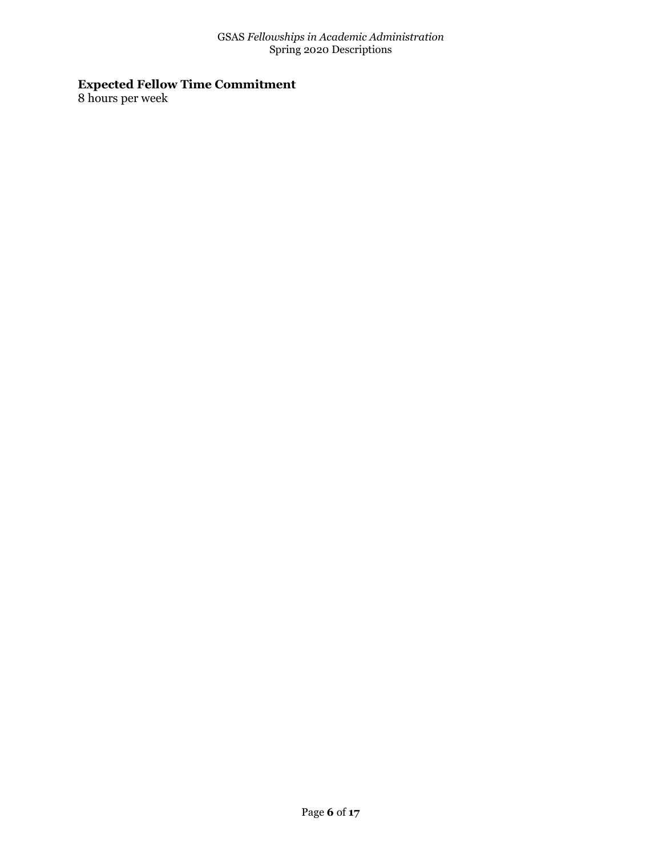# **Expected Fellow Time Commitment**

8 hours per week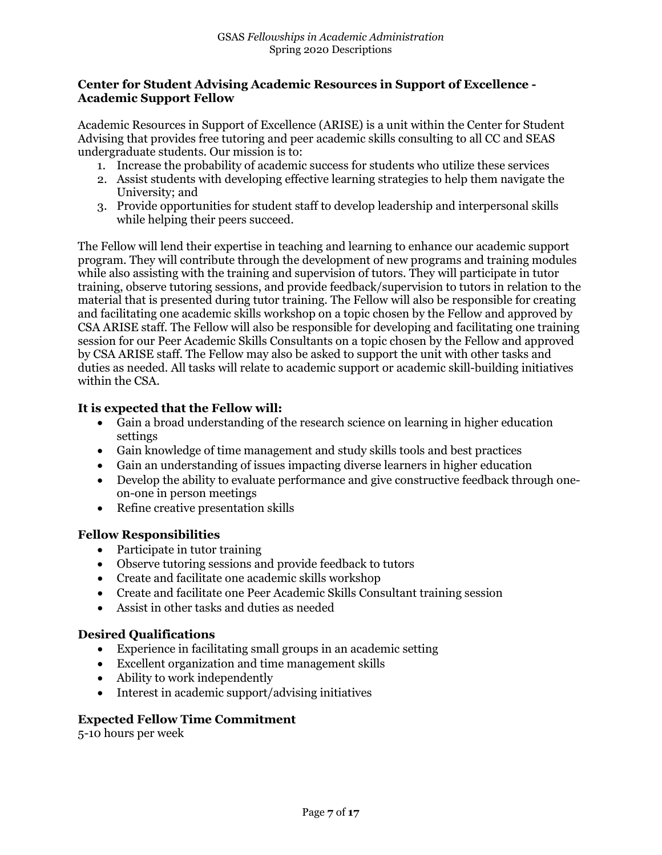## **Center for Student Advising Academic Resources in Support of Excellence - Academic Support Fellow**

Academic Resources in Support of Excellence (ARISE) is a unit within the Center for Student Advising that provides free tutoring and peer academic skills consulting to all CC and SEAS undergraduate students. Our mission is to:

- 1. Increase the probability of academic success for students who utilize these services
- 2. Assist students with developing effective learning strategies to help them navigate the University; and
- 3. Provide opportunities for student staff to develop leadership and interpersonal skills while helping their peers succeed.

The Fellow will lend their expertise in teaching and learning to enhance our academic support program. They will contribute through the development of new programs and training modules while also assisting with the training and supervision of tutors. They will participate in tutor training, observe tutoring sessions, and provide feedback/supervision to tutors in relation to the material that is presented during tutor training. The Fellow will also be responsible for creating and facilitating one academic skills workshop on a topic chosen by the Fellow and approved by CSA ARISE staff. The Fellow will also be responsible for developing and facilitating one training session for our Peer Academic Skills Consultants on a topic chosen by the Fellow and approved by CSA ARISE staff. The Fellow may also be asked to support the unit with other tasks and duties as needed. All tasks will relate to academic support or academic skill-building initiatives within the CSA.

# **It is expected that the Fellow will:**

- Gain a broad understanding of the research science on learning in higher education settings
- Gain knowledge of time management and study skills tools and best practices
- Gain an understanding of issues impacting diverse learners in higher education
- Develop the ability to evaluate performance and give constructive feedback through oneon-one in person meetings
- Refine creative presentation skills

## **Fellow Responsibilities**

- Participate in tutor training
- Observe tutoring sessions and provide feedback to tutors
- Create and facilitate one academic skills workshop
- Create and facilitate one Peer Academic Skills Consultant training session
- Assist in other tasks and duties as needed

# **Desired Qualifications**

- Experience in facilitating small groups in an academic setting
- Excellent organization and time management skills
- Ability to work independently
- Interest in academic support/advising initiatives

## **Expected Fellow Time Commitment**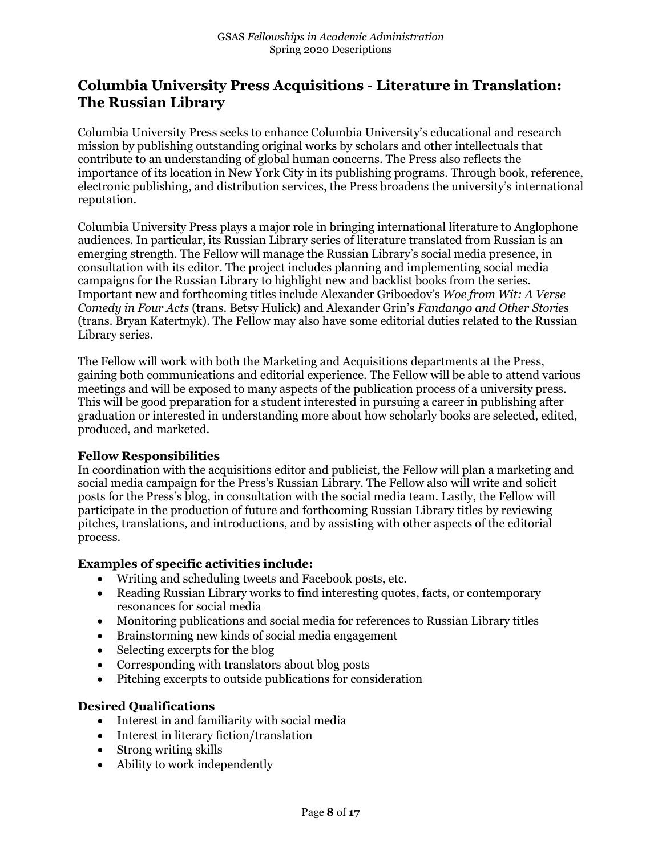# **Columbia University Press Acquisitions - Literature in Translation: The Russian Library**

Columbia University Press seeks to enhance Columbia University's educational and research mission by publishing outstanding original works by scholars and other intellectuals that contribute to an understanding of global human concerns. The Press also reflects the importance of its location in New York City in its publishing programs. Through book, reference, electronic publishing, and distribution services, the Press broadens the university's international reputation.

Columbia University Press plays a major role in bringing international literature to Anglophone audiences. In particular, its Russian Library series of literature translated from Russian is an emerging strength. The Fellow will manage the Russian Library's social media presence, in consultation with its editor. The project includes planning and implementing social media campaigns for the Russian Library to highlight new and backlist books from the series. Important new and forthcoming titles include Alexander Griboedov's *Woe from Wit: A Verse Comedy in Four Acts* (trans. Betsy Hulick) and Alexander Grin's *Fandango and Other Storie*s (trans. Bryan Katertnyk). The Fellow may also have some editorial duties related to the Russian Library series.

The Fellow will work with both the Marketing and Acquisitions departments at the Press, gaining both communications and editorial experience. The Fellow will be able to attend various meetings and will be exposed to many aspects of the publication process of a university press. This will be good preparation for a student interested in pursuing a career in publishing after graduation or interested in understanding more about how scholarly books are selected, edited, produced, and marketed.

## **Fellow Responsibilities**

In coordination with the acquisitions editor and publicist, the Fellow will plan a marketing and social media campaign for the Press's Russian Library. The Fellow also will write and solicit posts for the Press's blog, in consultation with the social media team. Lastly, the Fellow will participate in the production of future and forthcoming Russian Library titles by reviewing pitches, translations, and introductions, and by assisting with other aspects of the editorial process.

## **Examples of specific activities include:**

- Writing and scheduling tweets and Facebook posts, etc.
- Reading Russian Library works to find interesting quotes, facts, or contemporary resonances for social media
- Monitoring publications and social media for references to Russian Library titles
- Brainstorming new kinds of social media engagement
- Selecting excerpts for the blog
- Corresponding with translators about blog posts
- Pitching excerpts to outside publications for consideration

# **Desired Qualifications**

- Interest in and familiarity with social media
- Interest in literary fiction/translation
- Strong writing skills
- Ability to work independently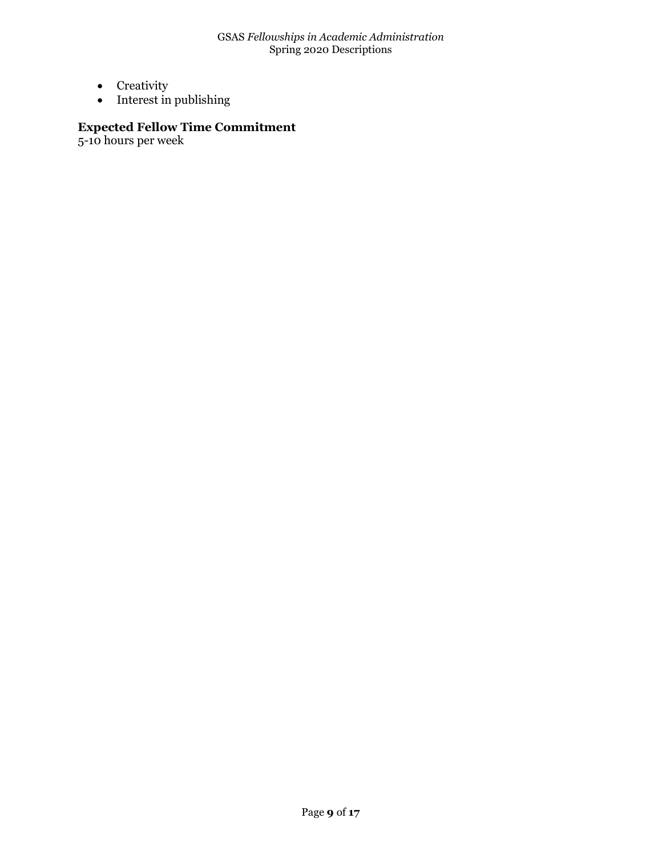- Creativity
- Interest in publishing

# **Expected Fellow Time Commitment**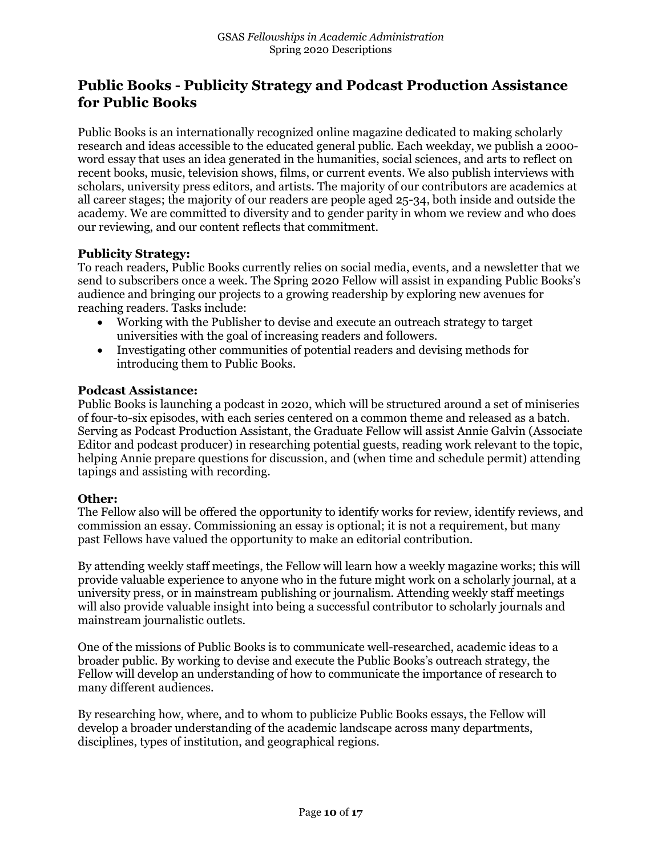# **Public Books - Publicity Strategy and Podcast Production Assistance for Public Books**

Public Books is an internationally recognized online magazine dedicated to making scholarly research and ideas accessible to the educated general public. Each weekday, we publish a 2000 word essay that uses an idea generated in the humanities, social sciences, and arts to reflect on recent books, music, television shows, films, or current events. We also publish interviews with scholars, university press editors, and artists. The majority of our contributors are academics at all career stages; the majority of our readers are people aged 25-34, both inside and outside the academy. We are committed to diversity and to gender parity in whom we review and who does our reviewing, and our content reflects that commitment.

#### **Publicity Strategy:**

To reach readers, Public Books currently relies on social media, events, and a newsletter that we send to subscribers once a week. The Spring 2020 Fellow will assist in expanding Public Books's audience and bringing our projects to a growing readership by exploring new avenues for reaching readers. Tasks include:

- Working with the Publisher to devise and execute an outreach strategy to target universities with the goal of increasing readers and followers.
- Investigating other communities of potential readers and devising methods for introducing them to Public Books.

#### **Podcast Assistance:**

Public Books is launching a podcast in 2020, which will be structured around a set of miniseries of four-to-six episodes, with each series centered on a common theme and released as a batch. Serving as Podcast Production Assistant, the Graduate Fellow will assist Annie Galvin (Associate Editor and podcast producer) in researching potential guests, reading work relevant to the topic, helping Annie prepare questions for discussion, and (when time and schedule permit) attending tapings and assisting with recording.

## **Other:**

The Fellow also will be offered the opportunity to identify works for review, identify reviews, and commission an essay. Commissioning an essay is optional; it is not a requirement, but many past Fellows have valued the opportunity to make an editorial contribution.

By attending weekly staff meetings, the Fellow will learn how a weekly magazine works; this will provide valuable experience to anyone who in the future might work on a scholarly journal, at a university press, or in mainstream publishing or journalism. Attending weekly staff meetings will also provide valuable insight into being a successful contributor to scholarly journals and mainstream journalistic outlets.

One of the missions of Public Books is to communicate well-researched, academic ideas to a broader public. By working to devise and execute the Public Books's outreach strategy, the Fellow will develop an understanding of how to communicate the importance of research to many different audiences.

By researching how, where, and to whom to publicize Public Books essays, the Fellow will develop a broader understanding of the academic landscape across many departments, disciplines, types of institution, and geographical regions.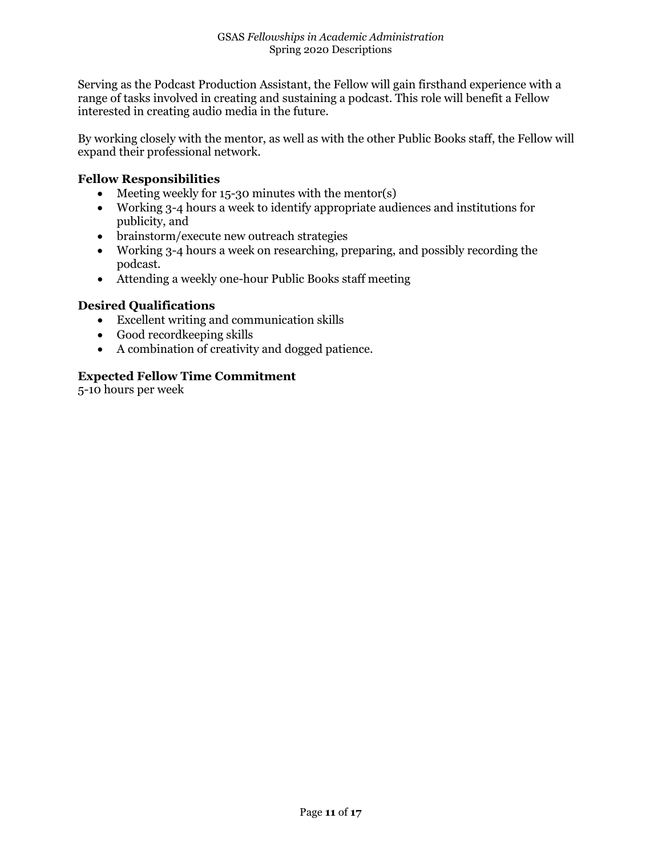Serving as the Podcast Production Assistant, the Fellow will gain firsthand experience with a range of tasks involved in creating and sustaining a podcast. This role will benefit a Fellow interested in creating audio media in the future.

By working closely with the mentor, as well as with the other Public Books staff, the Fellow will expand their professional network.

#### **Fellow Responsibilities**

- Meeting weekly for 15-30 minutes with the mentor(s)
- Working 3-4 hours a week to identify appropriate audiences and institutions for publicity, and
- brainstorm/execute new outreach strategies
- Working 3-4 hours a week on researching, preparing, and possibly recording the podcast.
- Attending a weekly one-hour Public Books staff meeting

#### **Desired Qualifications**

- Excellent writing and communication skills
- Good recordkeeping skills
- A combination of creativity and dogged patience.

#### **Expected Fellow Time Commitment**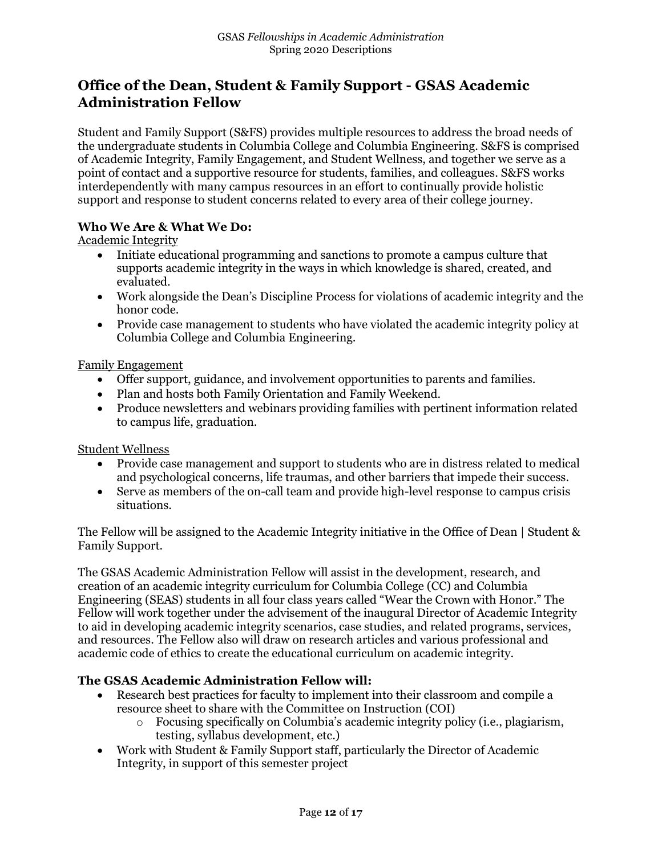# **Office of the Dean, Student & Family Support - GSAS Academic Administration Fellow**

Student and Family Support (S&FS) provides multiple resources to address the broad needs of the undergraduate students in Columbia College and Columbia Engineering. S&FS is comprised of Academic Integrity, Family Engagement, and Student Wellness, and together we serve as a point of contact and a supportive resource for students, families, and colleagues. S&FS works interdependently with many campus resources in an effort to continually provide holistic support and response to student concerns related to every area of their college journey.

## **Who We Are & What We Do:**

Academic Integrity

- Initiate educational programming and sanctions to promote a campus culture that supports academic integrity in the ways in which knowledge is shared, created, and evaluated.
- Work alongside the Dean's Discipline Process for violations of academic integrity and the honor code.
- Provide case management to students who have violated the academic integrity policy at Columbia College and Columbia Engineering.

#### Family Engagement

- Offer support, guidance, and involvement opportunities to parents and families.
- Plan and hosts both Family Orientation and Family Weekend.
- Produce newsletters and webinars providing families with pertinent information related to campus life, graduation.

# Student Wellness

- Provide case management and support to students who are in distress related to medical and psychological concerns, life traumas, and other barriers that impede their success.
- Serve as members of the on-call team and provide high-level response to campus crisis situations.

The Fellow will be assigned to the Academic Integrity initiative in the Office of Dean | Student & Family Support.

The GSAS Academic Administration Fellow will assist in the development, research, and creation of an academic integrity curriculum for Columbia College (CC) and Columbia Engineering (SEAS) students in all four class years called "Wear the Crown with Honor." The Fellow will work together under the advisement of the inaugural Director of Academic Integrity to aid in developing academic integrity scenarios, case studies, and related programs, services, and resources. The Fellow also will draw on research articles and various professional and academic code of ethics to create the educational curriculum on academic integrity.

## **The GSAS Academic Administration Fellow will:**

- Research best practices for faculty to implement into their classroom and compile a resource sheet to share with the Committee on Instruction (COI)
	- $\circ$  Focusing specifically on Columbia's academic integrity policy (i.e., plagiarism, testing, syllabus development, etc.)
- Work with Student & Family Support staff, particularly the Director of Academic Integrity, in support of this semester project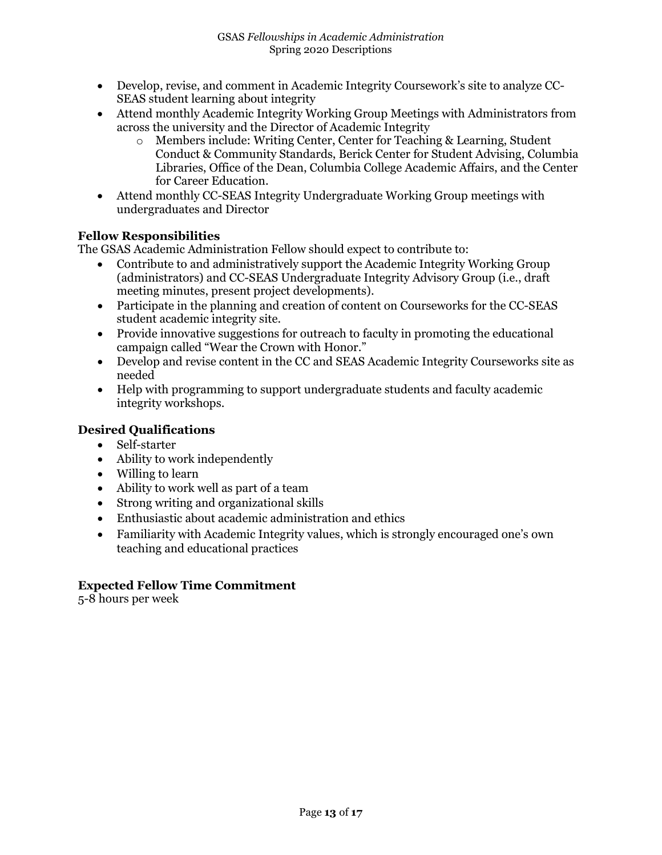- Develop, revise, and comment in Academic Integrity Coursework's site to analyze CC-SEAS student learning about integrity
- Attend monthly Academic Integrity Working Group Meetings with Administrators from across the university and the Director of Academic Integrity
	- o Members include: Writing Center, Center for Teaching & Learning, Student Conduct & Community Standards, Berick Center for Student Advising, Columbia Libraries, Office of the Dean, Columbia College Academic Affairs, and the Center for Career Education.
- Attend monthly CC-SEAS Integrity Undergraduate Working Group meetings with undergraduates and Director

## **Fellow Responsibilities**

The GSAS Academic Administration Fellow should expect to contribute to:

- Contribute to and administratively support the Academic Integrity Working Group (administrators) and CC-SEAS Undergraduate Integrity Advisory Group (i.e., draft meeting minutes, present project developments).
- Participate in the planning and creation of content on Courseworks for the CC-SEAS student academic integrity site.
- Provide innovative suggestions for outreach to faculty in promoting the educational campaign called "Wear the Crown with Honor."
- Develop and revise content in the CC and SEAS Academic Integrity Courseworks site as needed
- Help with programming to support undergraduate students and faculty academic integrity workshops.

# **Desired Qualifications**

- Self-starter
- Ability to work independently
- Willing to learn
- Ability to work well as part of a team
- Strong writing and organizational skills
- Enthusiastic about academic administration and ethics
- Familiarity with Academic Integrity values, which is strongly encouraged one's own teaching and educational practices

# **Expected Fellow Time Commitment**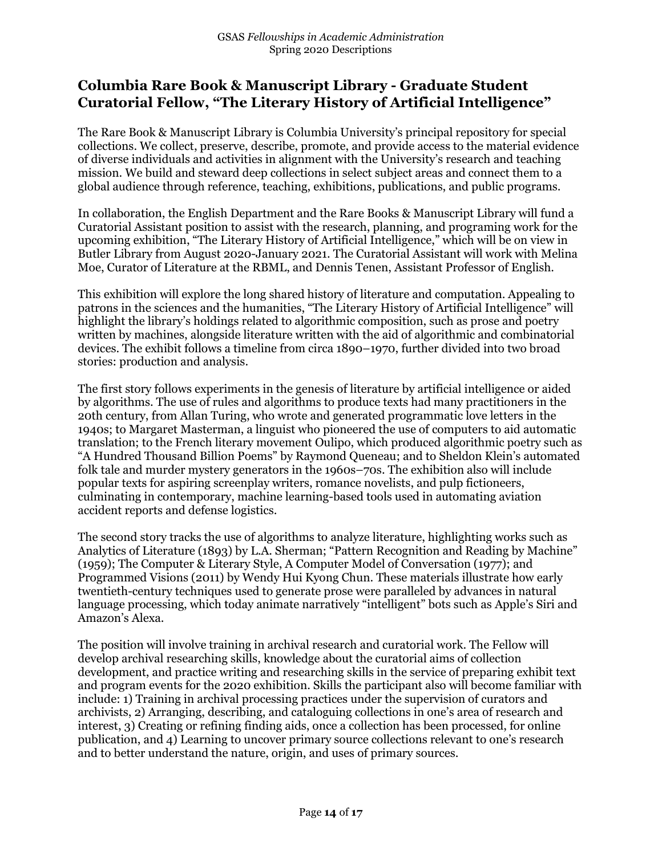# **Columbia Rare Book & Manuscript Library - Graduate Student Curatorial Fellow, "The Literary History of Artificial Intelligence"**

The Rare Book & Manuscript Library is Columbia University's principal repository for special collections. We collect, preserve, describe, promote, and provide access to the material evidence of diverse individuals and activities in alignment with the University's research and teaching mission. We build and steward deep collections in select subject areas and connect them to a global audience through reference, teaching, exhibitions, publications, and public programs.

In collaboration, the English Department and the Rare Books & Manuscript Library will fund a Curatorial Assistant position to assist with the research, planning, and programing work for the upcoming exhibition, "The Literary History of Artificial Intelligence," which will be on view in Butler Library from August 2020-January 2021. The Curatorial Assistant will work with Melina Moe, Curator of Literature at the RBML, and Dennis Tenen, Assistant Professor of English.

This exhibition will explore the long shared history of literature and computation. Appealing to patrons in the sciences and the humanities, "The Literary History of Artificial Intelligence" will highlight the library's holdings related to algorithmic composition, such as prose and poetry written by machines, alongside literature written with the aid of algorithmic and combinatorial devices. The exhibit follows a timeline from circa 1890–1970, further divided into two broad stories: production and analysis.

The first story follows experiments in the genesis of literature by artificial intelligence or aided by algorithms. The use of rules and algorithms to produce texts had many practitioners in the 20th century, from Allan Turing, who wrote and generated programmatic love letters in the 1940s; to Margaret Masterman, a linguist who pioneered the use of computers to aid automatic translation; to the French literary movement Oulipo, which produced algorithmic poetry such as "A Hundred Thousand Billion Poems" by Raymond Queneau; and to Sheldon Klein's automated folk tale and murder mystery generators in the 1960s–70s. The exhibition also will include popular texts for aspiring screenplay writers, romance novelists, and pulp fictioneers, culminating in contemporary, machine learning-based tools used in automating aviation accident reports and defense logistics.

The second story tracks the use of algorithms to analyze literature, highlighting works such as Analytics of Literature (1893) by L.A. Sherman; "Pattern Recognition and Reading by Machine" (1959); The Computer & Literary Style, A Computer Model of Conversation (1977); and Programmed Visions (2011) by Wendy Hui Kyong Chun. These materials illustrate how early twentieth-century techniques used to generate prose were paralleled by advances in natural language processing, which today animate narratively "intelligent" bots such as Apple's Siri and Amazon's Alexa.

The position will involve training in archival research and curatorial work. The Fellow will develop archival researching skills, knowledge about the curatorial aims of collection development, and practice writing and researching skills in the service of preparing exhibit text and program events for the 2020 exhibition. Skills the participant also will become familiar with include: 1) Training in archival processing practices under the supervision of curators and archivists, 2) Arranging, describing, and cataloguing collections in one's area of research and interest, 3) Creating or refining finding aids, once a collection has been processed, for online publication, and 4) Learning to uncover primary source collections relevant to one's research and to better understand the nature, origin, and uses of primary sources.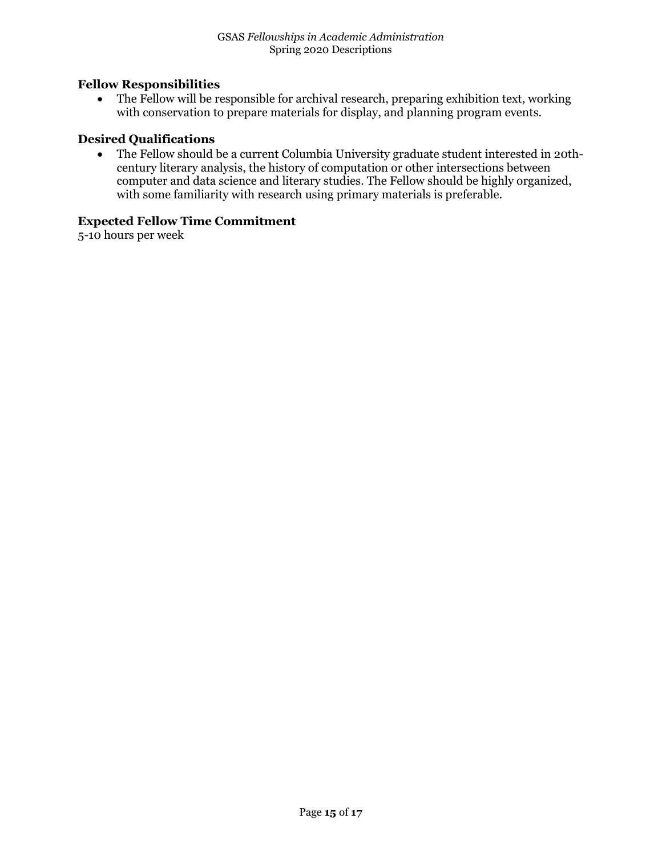#### **Fellow Responsibilities**

• The Fellow will be responsible for archival research, preparing exhibition text, working with conservation to prepare materials for display, and planning program events.

#### **Desired Qualifications**

• The Fellow should be a current Columbia University graduate student interested in 20thcentury literary analysis, the history of computation or other intersections between computer and data science and literary studies. The Fellow should be highly organized, with some familiarity with research using primary materials is preferable.

# **Expected Fellow Time Commitment**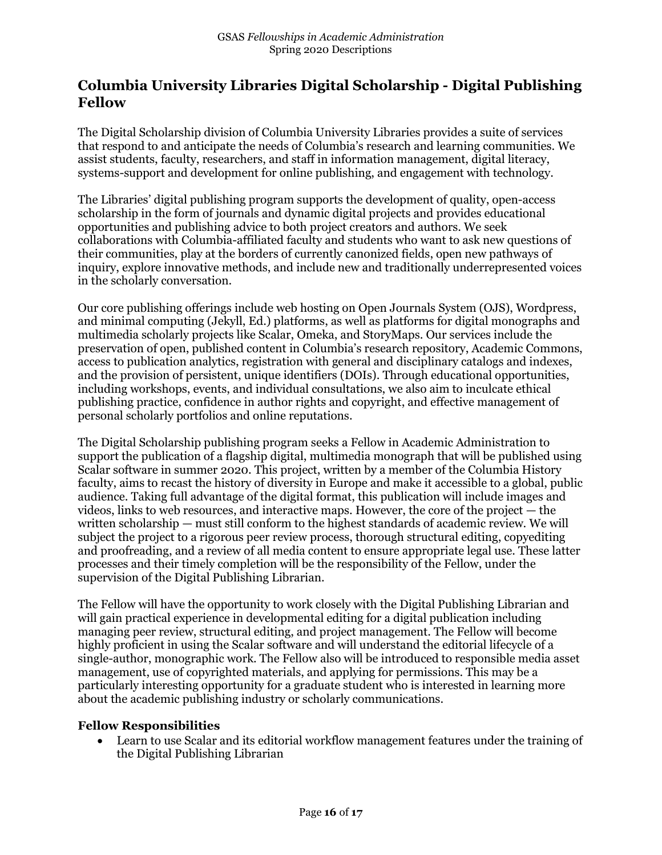# **Columbia University Libraries Digital Scholarship - Digital Publishing Fellow**

The Digital Scholarship division of Columbia University Libraries provides a suite of services that respond to and anticipate the needs of Columbia's research and learning communities. We assist students, faculty, researchers, and staff in information management, digital literacy, systems-support and development for online publishing, and engagement with technology.

The Libraries' digital publishing program supports the development of quality, open-access scholarship in the form of journals and dynamic digital projects and provides educational opportunities and publishing advice to both project creators and authors. We seek collaborations with Columbia-affiliated faculty and students who want to ask new questions of their communities, play at the borders of currently canonized fields, open new pathways of inquiry, explore innovative methods, and include new and traditionally underrepresented voices in the scholarly conversation.

Our core publishing offerings include web hosting on Open Journals System (OJS), Wordpress, and minimal computing (Jekyll, Ed.) platforms, as well as platforms for digital monographs and multimedia scholarly projects like Scalar, Omeka, and StoryMaps. Our services include the preservation of open, published content in Columbia's research repository, Academic Commons, access to publication analytics, registration with general and disciplinary catalogs and indexes, and the provision of persistent, unique identifiers (DOIs). Through educational opportunities, including workshops, events, and individual consultations, we also aim to inculcate ethical publishing practice, confidence in author rights and copyright, and effective management of personal scholarly portfolios and online reputations.

The Digital Scholarship publishing program seeks a Fellow in Academic Administration to support the publication of a flagship digital, multimedia monograph that will be published using Scalar software in summer 2020. This project, written by a member of the Columbia History faculty, aims to recast the history of diversity in Europe and make it accessible to a global, public audience. Taking full advantage of the digital format, this publication will include images and videos, links to web resources, and interactive maps. However, the core of the project — the written scholarship — must still conform to the highest standards of academic review. We will subject the project to a rigorous peer review process, thorough structural editing, copyediting and proofreading, and a review of all media content to ensure appropriate legal use. These latter processes and their timely completion will be the responsibility of the Fellow, under the supervision of the Digital Publishing Librarian.

The Fellow will have the opportunity to work closely with the Digital Publishing Librarian and will gain practical experience in developmental editing for a digital publication including managing peer review, structural editing, and project management. The Fellow will become highly proficient in using the Scalar software and will understand the editorial lifecycle of a single-author, monographic work. The Fellow also will be introduced to responsible media asset management, use of copyrighted materials, and applying for permissions. This may be a particularly interesting opportunity for a graduate student who is interested in learning more about the academic publishing industry or scholarly communications.

## **Fellow Responsibilities**

• Learn to use Scalar and its editorial workflow management features under the training of the Digital Publishing Librarian